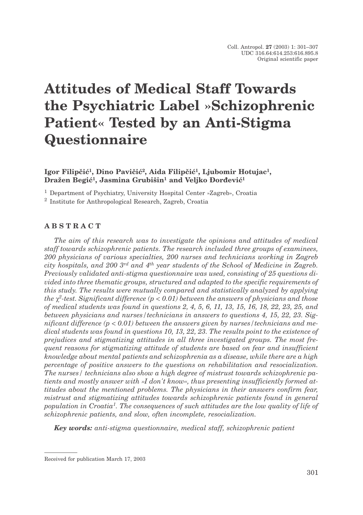# **Attitudes of Medical Staff Towards the Psychiatric Label »Schizophrenic Patient« Tested by an Anti-Stigma Questionnaire**

Igor Filipčić<sup>1</sup>, Dino Pavičić<sup>2</sup>, Aida Filipčić<sup>1</sup>, Ljubomir Hotujac<sup>1</sup>, Dražen Begić<sup>1</sup>, Jasmina Grubišin<sup>1</sup> and Veljko Đorđević<sup>1</sup>

<sup>1</sup> Department of Psychiatry, University Hospital Center »Zagreb», Croatia

<sup>2</sup> Institute for Anthropological Research, Zagreb, Croatia

## **ABSTRACT**

*The aim of this research was to investigate the opinions and attitudes of medical staff towards schizophrenic patients. The research included three groups of examinees, 200 physicians of various specialties, 200 nurses and technicians working in Zagreb city hospitals, and 200 3rd and 4th year students of the School of Medicine in Zagreb. Previously validated anti-stigma questionnaire was used, consisting of 25 questions divided into three thematic groups, structured and adapted to the specific requirements of this study. The results were mutually compared and statistically analyzed by applying the 2-test. Significant difference (p < 0.01) between the answers of physicians and those of medical students was found in questions 2, 4, 5, 6, 11, 13, 15, 16, 18, 22, 23, 25, and between physicians and nurses/technicians in answers to questions 4, 15, 22, 23. Significant difference (p < 0.01) between the answers given by nurses/technicians and medical students was found in questions 10, 13, 22, 23. The results point to the existence of prejudices and stigmatizing attitudes in all three investigated groups. The most frequent reasons for stigmatizing attitude of students are based on fear and insufficient knowledge about mental patients and schizophrenia as a disease, while there are a high percentage of positive answers to the questions on rehabilitation and resocialization. The nurses/ technicians also show a high degree of mistrust towards schizophrenic patients and mostly answer with »I don't know«, thus presenting insufficiently formed attitudes about the mentioned problems. The physicians in their answers confirm fear, mistrust and stigmatizing attitudes towards schizophrenic patients found in general population in Croatia1. The consequences of such attitudes are the low quality of life of schizophrenic patients, and slow, often incomplete, resocialization.*

*Key words: anti-stigma questionnaire, medical staff, schizophrenic patient*

Received for publication March 17, 2003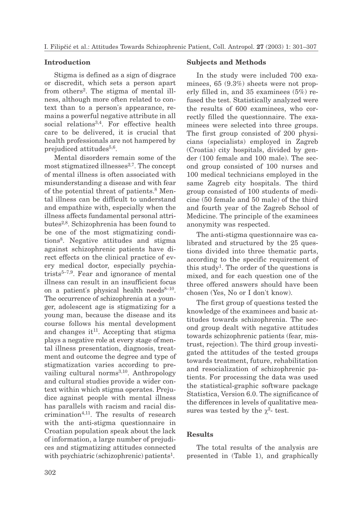#### **Introduction**

Stigma is defined as a sign of disgrace or discredit, which sets a person apart from others<sup>2</sup>. The stigma of mental illness, although more often related to context than to a person's appearance, remains a powerful negative attribute in all social relations<sup>3,4</sup>. For effective health care to be delivered, it is crucial that health professionals are not hampered by prejudiced attitudes<sup>5,6</sup>.

Mental disorders remain some of the most stigmatized illnesses<sup>2,7</sup>. The concept of mental illness is often associated with misunderstanding a disease and with fear of the potential threat of patients.<sup>8</sup> Mental illness can be difficult to understand and empathize with, especially when the illness affects fundamental personal attributes2,8. Schizophrenia has been found to be one of the most stigmatizing conditions8. Negative attitudes and stigma against schizophrenic patients have direct effects on the clinical practice of every medical doctor, especially psychiatrists $5-7.9$ . Fear and ignorance of mental illness can result in an insufficient focus on a patient's physical health needs $8-10$ . The occurrence of schizophrenia at a younger, adolescent age is stigmatizing for a young man, because the disease and its course follows his mental development and changes it<sup>11</sup>. Accepting that stigma plays a negative role at every stage of mental illness presentation, diagnosis, treatment and outcome the degree and type of stigmatization varies according to prevailing cultural norms $^{3,10}$ . Anthropology and cultural studies provide a wider context within which stigma operates. Prejudice against people with mental illness has parallels with racism and racial discrimination4,11. The results of research with the anti-stigma questionnaire in Croatian population speak about the lack of information, a large number of prejudices and stigmatizing attitudes connected with psychiatric (schizophrenic) patients<sup>1</sup>.

#### **Subjects and Methods**

In the study were included 700 examinees, 65 (9.3%) sheets were not properly filled in, and 35 examinees (5%) refused the test. Statistically analyzed were the results of 600 examinees, who correctly filled the questionnaire. The examinees were selected into three groups. The first group consisted of 200 physicians (specialists) employed in Zagreb (Croatia) city hospitals, divided by gender (100 female and 100 male). The second group consisted of 100 nurses and 100 medical technicians employed in the same Zagreb city hospitals. The third group consisted of 100 students of medicine (50 female and 50 male) of the third and fourth year of the Zagreb School of Medicine. The principle of the examinees anonymity was respected.

The anti-stigma questionnaire was calibrated and structured by the 25 questions divided into three thematic parts, according to the specific requirement of this study<sup>1</sup>. The order of the questions is mixed, and for each question one of the three offered answers should have been chosen (Yes, No or I don't know).

The first group of questions tested the knowledge of the examinees and basic attitudes towards schizophrenia. The second group dealt with negative attitudes towards schizophrenic patients (fear, mistrust, rejection). The third group investigated the attitudes of the tested groups towards treatment, future, rehabilitation and resocialization of schizophrenic patients. For processing the data was used the statistical-graphic software package Statistica, Version 6.0. The significance of the differences in levels of qualitative measures was tested by the  $\chi^2$ - test.

### **Results**

The total results of the analysis are presented in (Table 1), and graphically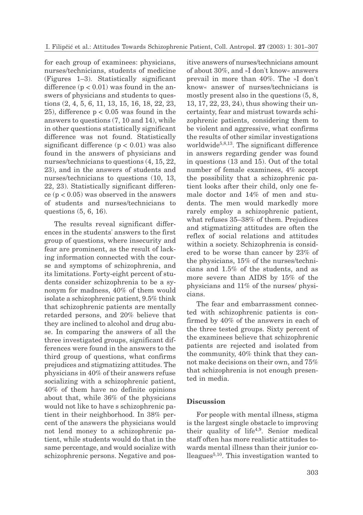for each group of examinees: physicians, nurses/technicians, students of medicine (Figures 1–3). Statistically significant difference  $(p < 0.01)$  was found in the answers of physicians and students to questions (2, 4, 5, 6, 11, 13, 15, 16, 18, 22, 23, 25), difference  $p < 0.05$  was found in the answers to questions (7, 10 and 14), while in other questions statistically significant difference was not found. Statistically significant difference  $(p < 0.01)$  was also found in the answers of physicians and nurses/technicians to questions (4, 15, 22, 23), and in the answers of students and nurses/technicians to questions (10, 13, 22, 23). Statistically significant difference  $(p < 0.05)$  was observed in the answers of students and nurses/technicians to questions (5, 6, 16).

The results reveal significant differences in the students' answers to the first group of questions, where insecurity and fear are prominent, as the result of lacking information connected with the course and symptoms of schizophrenia, and its limitations. Forty-eight percent of students consider schizophrenia to be a synonym for madness, 40% of them would isolate a schizophrenic patient, 9.5% think that schizophrenic patients are mentally retarded persons, and 20% believe that they are inclined to alcohol and drug abuse. In comparing the answers of all the three investigated groups, significant differences were found in the answers to the third group of questions, what confirms prejudices and stigmatizing attitudes. The physicians in 40% of their answers refuse socializing with a schizophrenic patient, 40% of them have no definite opinions about that, while 36% of the physicians would not like to have s schizophrenic patient in their neighborhood. In 38% percent of the answers the physicians would not lend money to a schizophrenic patient, while students would do that in the same percentage, and would socialize with schizophrenic persons. Negative and positive answers of nurses/technicians amount of about 30%, and »I don't know« answers prevail in more than 40%. The »I don't know« answer of nurses/technicians is mostly present also in the questions (5, 8, 13, 17, 22, 23, 24), thus showing their uncertainty, fear and mistrust towards schizophrenic patients, considering them to be violent and aggressive, what confirms the results of other similar investigations worldwide<sup>5,8,13</sup>. The significant difference in answers regarding gender was found in questions (13 and 15). Out of the total number of female examinees, 4% accept the possibility that a schizophrenic patient looks after their child, only one female doctor and 14% of men and students. The men would markedly more rarely employ a schizophrenic patient, what refuses 35–38% of them. Prejudices and stigmatizing attitudes are often the reflex of social relations and attitudes within a society. Schizophrenia is considered to be worse than cancer by 23% of the physicians, 15% of the nurses/technicians and 1.5% of the students, and as more severe than AIDS by 15% of the physicians and 11% of the nurses/ physicians.

The fear and embarrassment connected with schizophrenic patients is confirmed by 40% of the answers in each of the three tested groups. Sixty percent of the examinees believe that schizophrenic patients are rejected and isolated from the community, 40% think that they cannot make decisions on their own, and 75% that schizophrenia is not enough presented in media.

#### **Discussion**

For people with mental illness, stigma is the largest single obstacle to improving their quality of life4,9. Senior medical staff often has more realistic attitudes towards mental illness than their junior colleagues5,10. This investigation wanted to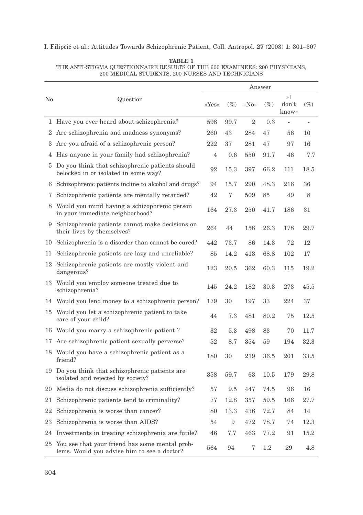|     | Question                                                                                         | Answer         |        |                  |         |                          |        |
|-----|--------------------------------------------------------------------------------------------------|----------------|--------|------------------|---------|--------------------------|--------|
| No. |                                                                                                  | »Yes«          | $(\%)$ | $\partial N_{0}$ | $(\%)$  | »I<br>don't<br>know«     | $(\%)$ |
|     | 1 Have you ever heard about schizophrenia?                                                       | 598            | 99.7   | $\overline{2}$   | 0.3     | $\overline{\phantom{a}}$ | ÷,     |
| 2   | Are schizophrenia and madness synonyms?                                                          | 260            | 43     | 284              | 47      | 56                       | 10     |
| 3   | Are you afraid of a schizophrenic person?                                                        | 222            | 37     | 281              | 47      | 97                       | 16     |
| 4   | Has anyone in your family had schizophrenia?                                                     | $\overline{4}$ | 0.6    | 550              | 91.7    | 46                       | 7.7    |
|     | 5 Do you think that schizophrenic patients should<br>belocked in or isolated in some way?        | 92             | 15.3   | 397              | 66.2    | 111                      | 18.5   |
| 6   | Schizophrenic patients incline to alcohol and drugs?                                             | 94             | 15.7   | 290              | 48.3    | 216                      | 36     |
| 7   | Schizophrenic patients are mentally retarded?                                                    | 42             | 7      | 509              | 85      | 49                       | 8      |
|     | 8 Would you mind having a schizophrenic person<br>in your immediate neighborhood?                | 164            | 27.3   | 250              | 41.7    | 186                      | 31     |
|     | 9 Schizophrenic patients cannot make decisions on<br>their lives by themselves?                  | 264            | 44     | 158              | 26.3    | 178                      | 29.7   |
|     | 10 Schizophrenia is a disorder than cannot be cured?                                             | 442            | 73.7   | 86               | 14.3    | 72                       | 12     |
| 11  | Schizophrenic patients are lazy and unreliable?                                                  | 85             | 14.2   | 413              | 68.8    | 102                      | 17     |
|     | 12 Schizophrenic patients are mostly violent and<br>dangerous?                                   | 123            | 20.5   | 362              | 60.3    | 115                      | 19.2   |
|     | 13 Would you employ someone treated due to<br>schizophrenia?                                     | 145            | 24.2   | 182              | 30.3    | 273                      | 45.5   |
|     | 14 Would you lend money to a schizophrenic person?                                               | 179            | 30     | 197              | 33      | 224                      | 37     |
|     | 15 Would you let a schizophrenic patient to take<br>care of your child?                          | 44             | 7.3    | 481              | 80.2    | 75                       | 12.5   |
|     | 16 Would you marry a schizophrenic patient?                                                      | 32             | 5.3    | 498              | 83      | 70                       | 11.7   |
|     | 17 Are schizophrenic patient sexually perverse?                                                  | 52             | 8.7    | 354              | 59      | 194                      | 32.3   |
|     | 18 Would you have a schizophrenic patient as a<br>friend?                                        | 180            | 30     | 219              | 36.5    | 201                      | 33.5   |
|     | 19 Do you think that schizophrenic patients are<br>isolated and rejected by society?             | 358            | 59.7   | 63               | 10.5    | 179                      | 29.8   |
|     | 20 Media do not discuss schizophrenia sufficiently?                                              | 57             | 9.5    | 447              | 74.5    | 96                       | 16     |
| 21  | Schizophrenic patients tend to criminality?                                                      | 77             | 12.8   | 357              | 59.5    | 166                      | 27.7   |
| 22  | Schizophrenia is worse than cancer?                                                              | 80             | 13.3   | 436              | 72.7    | 84                       | 14     |
| 23  | Schizophrenia is worse than AIDS?                                                                | 54             | 9      | 472              | 78.7    | 74                       | 12.3   |
|     | 24 Investments in treating schizophrenia are futile?                                             | 46             | 7.7    | 463              | 77.2    | 91                       | 15.2   |
|     | 25 You see that your friend has some mental prob-<br>lems. Would you advise him to see a doctor? | 564            | 94     | 7                | $1.2\,$ | 29                       | 4.8    |

#### **TABLE 1** THE ANTI-STIGMA QUESTIONNAIRE RESULTS OF THE 600 EXAMINEES: 200 PHYSICIANS, 200 MEDICAL STUDENTS, 200 NURSES AND TECHNICIANS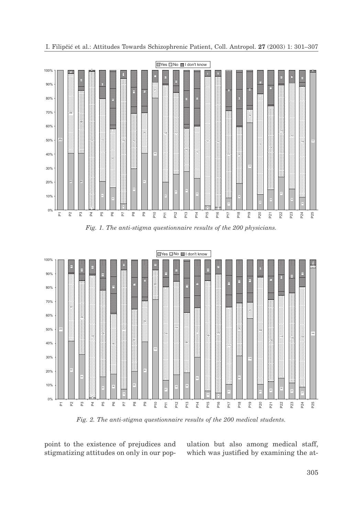



*Fig. 2. The anti-stigma questionnaire results of the 200 medical students.*

point to the existence of prejudices and stigmatizing attitudes on only in our population but also among medical staff, which was justified by examining the at-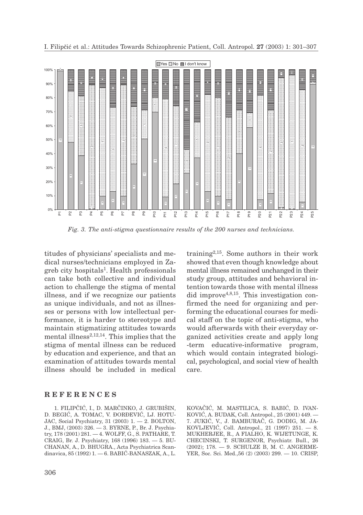

*Fig. 3. The anti-stigma questionnaire results of the 200 nurses and technicians.*

titudes of physicians' specialists and medical nurses/technicians employed in Zagreb city hospitals1. Health professionals can take both collective and individual action to challenge the stigma of mental illness, and if we recognize our patients as unique individuals, and not as illnesses or persons with low intellectual performance, it is harder to stereotype and maintain stigmatizing attitudes towards mental illness $2,12,14$ . This implies that the stigma of mental illness can be reduced by education and experience, and that an examination of attitudes towards mental illness should be included in medical training2,15. Some authors in their work showed that even though knowledge about mental illness remained unchanged in their study group, attitudes and behavioral intention towards those with mental illness did improve<sup>4,8,15</sup>. This investigation confirmed the need for organizing and performing the educational courses for medical staff on the topic of anti-stigma, who would afterwards with their everyday organized activities create and apply long -term educative-informative program, which would contain integrated biological, psychological, and social view of health care.

#### **REFERENCES**

1. FILIPČIĆ, I., D. MARČINKO, J. GRUBIŠIN, D. BEGIĆ, A. TOMAC, V. ĐORĐEVIĆ, LJ. HOTU-JAC, Social Psychiatry, 31 (2003) 1. — 2. BOLTON, J., BMJ, (2003) 326. — 3. BYRNE, P., Br. J. Psychiatry, 178 (2001) 281. — 4. WOLFF, G., S. PATHARE, T. CRAIG, Br. J. Psychiatry, 168 (1996) 183. — 5. BU-CHANAN, A., D. BHUGRA., Acta Psychiatrica Scandinavica,  $85(1992)$  1.  $-6$ . BABIĆ-BANASZAK, A., L. KOVAČIĆ, M. MASTILICA, S. BABIĆ, D. IVAN-KOVIĆ, A. BUDAK, Coll. Antropol., 25 (2001) 449. -7. JUKIĆ, V., J. BAMBURAČ, G. DODIG, M. JA-KOVLJEVIĆ, Coll. Antropol., 21 (1997) 251.  $-8$ . MUKHERJEE, R., A FIALHO, K. WIJETUNGE, K. CHECINSKI, T. SURGENOR, Psychiatr. Bull., 26 (2002); 178. — 9. SCHULZE B, M. C. ANGERME-YER, Soc. Sci. Med.,56 (2) (2003) 299. — 10. CRISP,